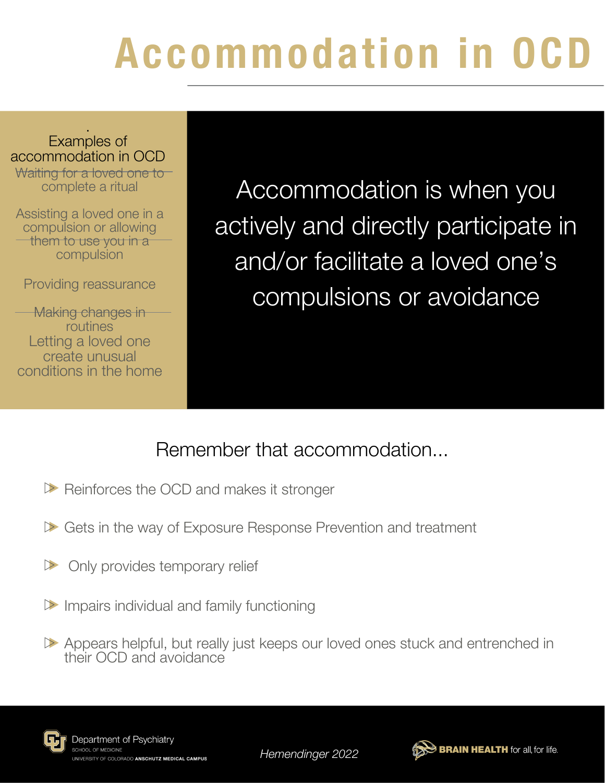# Accommodation in OCD

#### . Examples of accommodation in OCD

Waiting for a loved one to complete a ritual

Assisting a loved one in a compulsion or allowing them to use you in a compulsion

Providing reassurance

**Making changes in** routines Letting a loved one create unusual conditions in the home

Accommodation is when you actively and directly participate in and/or facilitate a loved one's compulsions or avoidance

#### Remember that accommodation...

- Reinforces the OCD and makes it stronger
- Gets in the way of Exposure Response Prevention and treatment
- Only provides temporary relief  $\triangleright$
- Impairs individual and family functioning
- Appears helpful, but really just keeps our loved ones stuck and entrenched in their OCD and avoidance